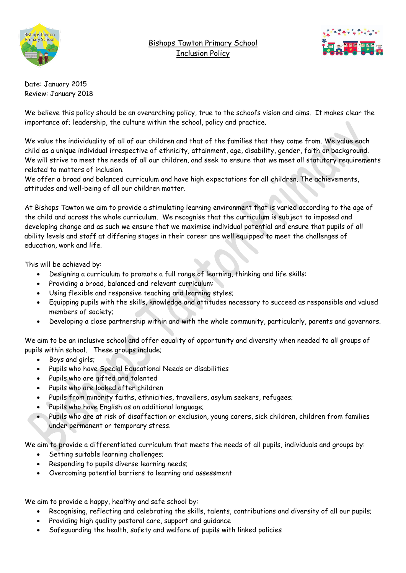



Date: January 2015 Review: January 2018

We believe this policy should be an overarching policy, true to the school's vision and aims. It makes clear the importance of; leadership, the culture within the school, policy and practice.

We value the individuality of all of our children and that of the families that they come from. We value each child as a unique individual irrespective of ethnicity, attainment, age, disability, gender, faith or background. We will strive to meet the needs of all our children, and seek to ensure that we meet all statutory requirements related to matters of inclusion.

We offer a broad and balanced curriculum and have high expectations for all children. The achievements, attitudes and well-being of all our children matter.

At Bishops Tawton we aim to provide a stimulating learning environment that is varied according to the age of the child and across the whole curriculum. We recognise that the curriculum is subject to imposed and developing change and as such we ensure that we maximise individual potential and ensure that pupils of all ability levels and staff at differing stages in their career are well equipped to meet the challenges of education, work and life.

This will be achieved by:

- Designing a curriculum to promote a full range of learning, thinking and life skills:
- Providing a broad, balanced and relevant curriculum:
- Using flexible and responsive teaching and learning styles;
- Equipping pupils with the skills, knowledge and attitudes necessary to succeed as responsible and valued members of society;
- Developing a close partnership within and with the whole community, particularly, parents and governors.

We aim to be an inclusive school and offer equality of opportunity and diversity when needed to all groups of pupils within school. These groups include;

- Boys and girls;
- Pupils who have Special Educational Needs or disabilities
- Pupils who are gifted and talented
- Pupils who are looked after children
- Pupils from minority faiths, ethnicities, travellers, asylum seekers, refugees;
- Pupils who have English as an additional language;
- Pupils who are at risk of disaffection or exclusion, young carers, sick children, children from families under permanent or temporary stress.

We aim to provide a differentiated curriculum that meets the needs of all pupils, individuals and groups by:

- Setting suitable learning challenges;
- Responding to pupils diverse learning needs;
- Overcoming potential barriers to learning and assessment

We aim to provide a happy, healthy and safe school by:

- Recognising, reflecting and celebrating the skills, talents, contributions and diversity of all our pupils;
- Providing high quality pastoral care, support and guidance
- Safeguarding the health, safety and welfare of pupils with linked policies